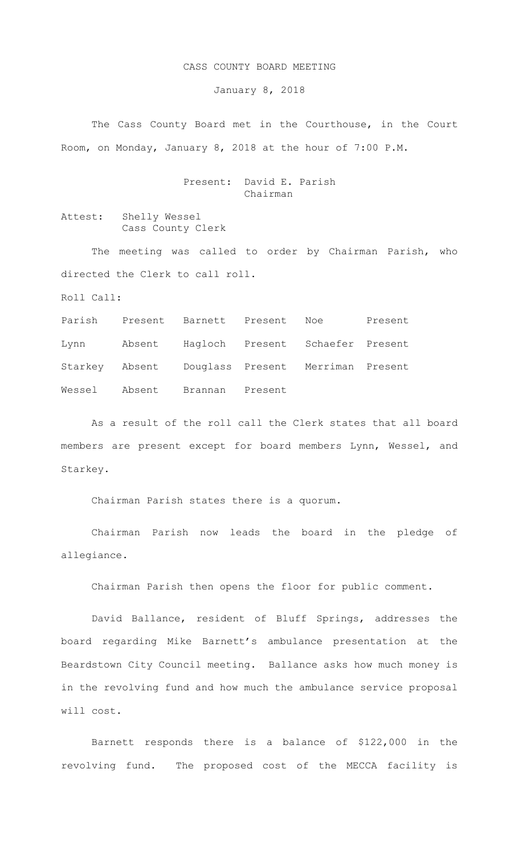## CASS COUNTY BOARD MEETING

January 8, 2018

The Cass County Board met in the Courthouse, in the Court Room, on Monday, January 8, 2018 at the hour of 7:00 P.M.

## Present: David E. Parish Chairman

Attest: Shelly Wessel Cass County Clerk

The meeting was called to order by Chairman Parish, who directed the Clerk to call roll.

Roll Call:

Parish Present Barnett Present Noe Present Lynn Absent Hagloch Present Schaefer Present Starkey Absent Douglass Present Merriman Present Wessel Absent Brannan Present

As a result of the roll call the Clerk states that all board members are present except for board members Lynn, Wessel, and Starkey.

Chairman Parish states there is a quorum.

Chairman Parish now leads the board in the pledge of allegiance.

Chairman Parish then opens the floor for public comment.

David Ballance, resident of Bluff Springs, addresses the board regarding Mike Barnett's ambulance presentation at the Beardstown City Council meeting. Ballance asks how much money is in the revolving fund and how much the ambulance service proposal will cost.

Barnett responds there is a balance of \$122,000 in the revolving fund. The proposed cost of the MECCA facility is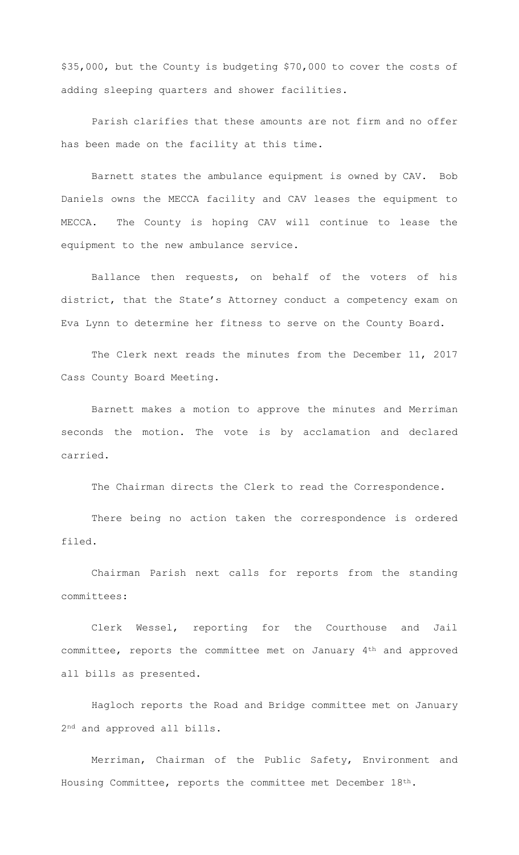\$35,000, but the County is budgeting \$70,000 to cover the costs of adding sleeping quarters and shower facilities.

Parish clarifies that these amounts are not firm and no offer has been made on the facility at this time.

Barnett states the ambulance equipment is owned by CAV. Bob Daniels owns the MECCA facility and CAV leases the equipment to MECCA. The County is hoping CAV will continue to lease the equipment to the new ambulance service.

Ballance then requests, on behalf of the voters of his district, that the State's Attorney conduct a competency exam on Eva Lynn to determine her fitness to serve on the County Board.

The Clerk next reads the minutes from the December 11, 2017 Cass County Board Meeting.

Barnett makes a motion to approve the minutes and Merriman seconds the motion. The vote is by acclamation and declared carried.

The Chairman directs the Clerk to read the Correspondence.

There being no action taken the correspondence is ordered filed.

Chairman Parish next calls for reports from the standing committees:

Clerk Wessel, reporting for the Courthouse and Jail committee, reports the committee met on January 4th and approved all bills as presented.

Hagloch reports the Road and Bridge committee met on January 2nd and approved all bills.

Merriman, Chairman of the Public Safety, Environment and Housing Committee, reports the committee met December  $18<sup>th</sup>$ .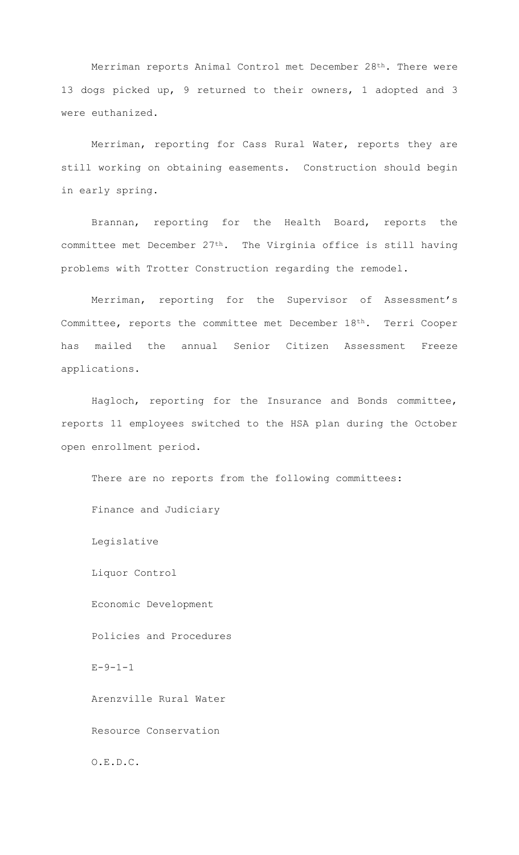Merriman reports Animal Control met December 28th. There were 13 dogs picked up, 9 returned to their owners, 1 adopted and 3 were euthanized.

Merriman, reporting for Cass Rural Water, reports they are still working on obtaining easements. Construction should begin in early spring.

Brannan, reporting for the Health Board, reports the committee met December 27th. The Virginia office is still having problems with Trotter Construction regarding the remodel.

Merriman, reporting for the Supervisor of Assessment's Committee, reports the committee met December 18th. Terri Cooper has mailed the annual Senior Citizen Assessment Freeze applications.

Hagloch, reporting for the Insurance and Bonds committee, reports 11 employees switched to the HSA plan during the October open enrollment period.

There are no reports from the following committees: Finance and Judiciary Legislative Liquor Control Economic Development Policies and Procedures  $E - 9 - 1 - 1$ Arenzville Rural Water Resource Conservation O.E.D.C.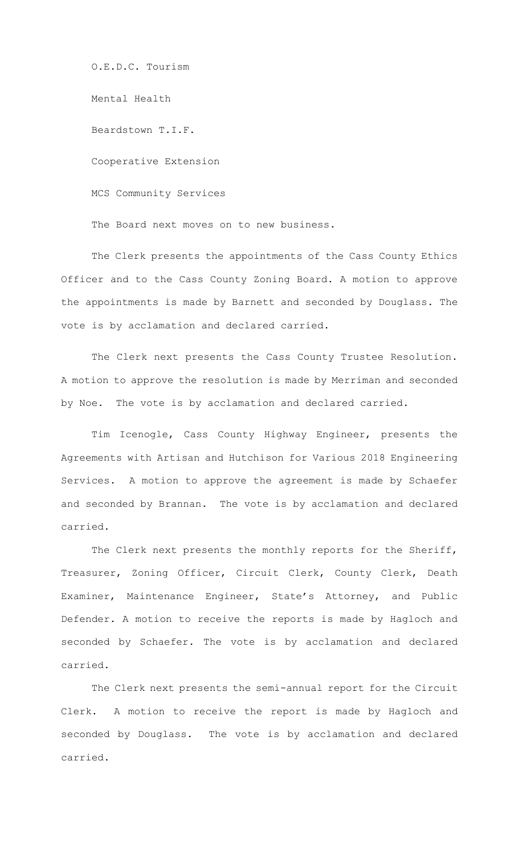O.E.D.C. Tourism

Mental Health

Beardstown T.I.F.

Cooperative Extension

MCS Community Services

The Board next moves on to new business.

The Clerk presents the appointments of the Cass County Ethics Officer and to the Cass County Zoning Board. A motion to approve the appointments is made by Barnett and seconded by Douglass. The vote is by acclamation and declared carried.

 The Clerk next presents the Cass County Trustee Resolution. A motion to approve the resolution is made by Merriman and seconded by Noe. The vote is by acclamation and declared carried.

 Tim Icenogle, Cass County Highway Engineer, presents the Agreements with Artisan and Hutchison for Various 2018 Engineering Services. A motion to approve the agreement is made by Schaefer and seconded by Brannan. The vote is by acclamation and declared carried.

The Clerk next presents the monthly reports for the Sheriff, Treasurer, Zoning Officer, Circuit Clerk, County Clerk, Death Examiner, Maintenance Engineer, State's Attorney, and Public Defender. A motion to receive the reports is made by Hagloch and seconded by Schaefer. The vote is by acclamation and declared carried.

The Clerk next presents the semi-annual report for the Circuit Clerk. A motion to receive the report is made by Hagloch and seconded by Douglass. The vote is by acclamation and declared carried.